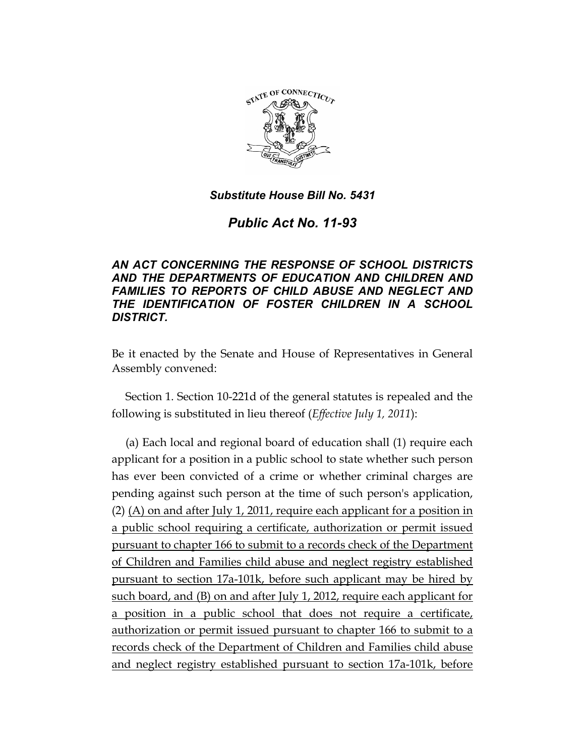

# *Public Act No. 11-93*

# *AN ACT CONCERNING THE RESPONSE OF SCHOOL DISTRICTS AND THE DEPARTMENTS OF EDUCATION AND CHILDREN AND FAMILIES TO REPORTS OF CHILD ABUSE AND NEGLECT AND THE IDENTIFICATION OF FOSTER CHILDREN IN A SCHOOL DISTRICT.*

Be it enacted by the Senate and House of Representatives in General Assembly convened:

Section 1. Section 10-221d of the general statutes is repealed and the following is substituted in lieu thereof (*Effective July 1, 2011*):

(a) Each local and regional board of education shall (1) require each applicant for a position in a public school to state whether such person has ever been convicted of a crime or whether criminal charges are pending against such person at the time of such person's application, (2) (A) on and after July 1, 2011, require each applicant for a position in a public school requiring a certificate, authorization or permit issued pursuant to chapter 166 to submit to a records check of the Department of Children and Families child abuse and neglect registry established pursuant to section 17a-101k, before such applicant may be hired by such board, and (B) on and after July 1, 2012, require each applicant for a position in a public school that does not require a certificate, authorization or permit issued pursuant to chapter 166 to submit to a records check of the Department of Children and Families child abuse and neglect registry established pursuant to section 17a-101k, before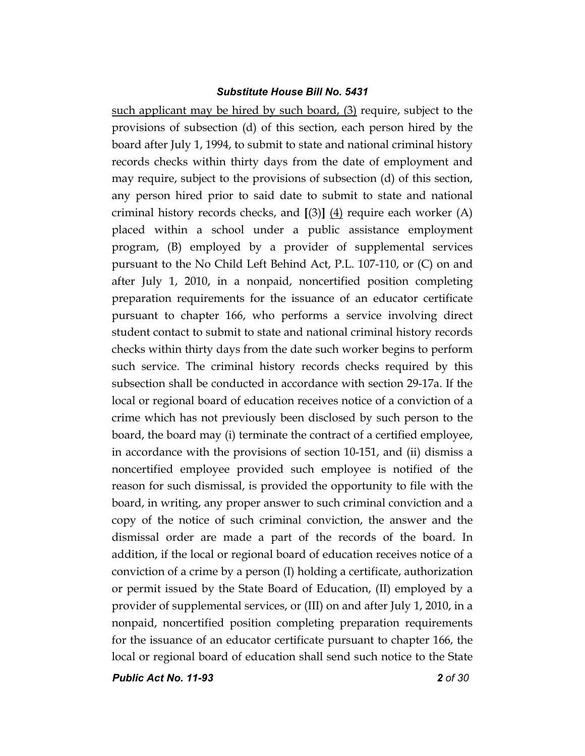such applicant may be hired by such board, (3) require, subject to the provisions of subsection (d) of this section, each person hired by the board after July 1, 1994, to submit to state and national criminal history records checks within thirty days from the date of employment and may require, subject to the provisions of subsection (d) of this section, any person hired prior to said date to submit to state and national criminal history records checks, and **[**(3)**]** (4) require each worker (A) placed within a school under a public assistance employment program, (B) employed by a provider of supplemental services pursuant to the No Child Left Behind Act, P.L. 107-110, or (C) on and after July 1, 2010, in a nonpaid, noncertified position completing preparation requirements for the issuance of an educator certificate pursuant to chapter 166, who performs a service involving direct student contact to submit to state and national criminal history records checks within thirty days from the date such worker begins to perform such service. The criminal history records checks required by this subsection shall be conducted in accordance with section 29-17a. If the local or regional board of education receives notice of a conviction of a crime which has not previously been disclosed by such person to the board, the board may (i) terminate the contract of a certified employee, in accordance with the provisions of section 10-151, and (ii) dismiss a noncertified employee provided such employee is notified of the reason for such dismissal, is provided the opportunity to file with the board, in writing, any proper answer to such criminal conviction and a copy of the notice of such criminal conviction, the answer and the dismissal order are made a part of the records of the board. In addition, if the local or regional board of education receives notice of a conviction of a crime by a person (I) holding a certificate, authorization or permit issued by the State Board of Education, (II) employed by a provider of supplemental services, or (III) on and after July 1, 2010, in a nonpaid, noncertified position completing preparation requirements for the issuance of an educator certificate pursuant to chapter 166, the local or regional board of education shall send such notice to the State

*Public Act No. 11-93 2 of 30*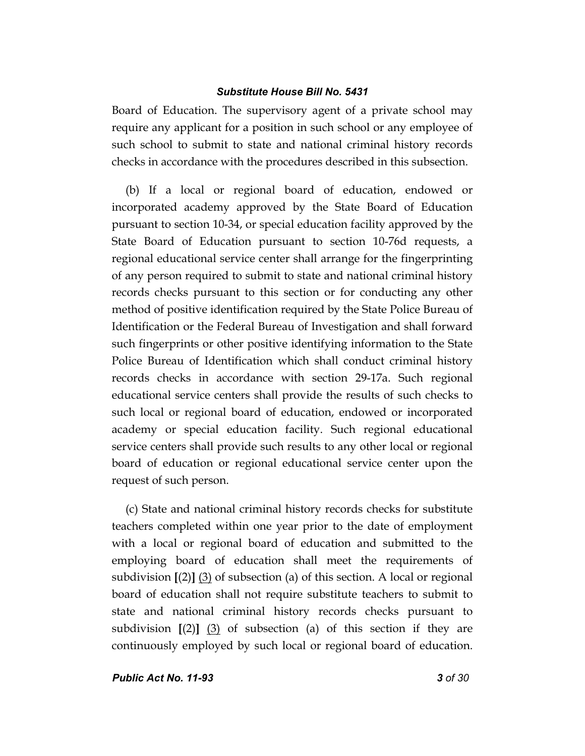Board of Education. The supervisory agent of a private school may require any applicant for a position in such school or any employee of such school to submit to state and national criminal history records checks in accordance with the procedures described in this subsection.

(b) If a local or regional board of education, endowed or incorporated academy approved by the State Board of Education pursuant to section 10-34, or special education facility approved by the State Board of Education pursuant to section 10-76d requests, a regional educational service center shall arrange for the fingerprinting of any person required to submit to state and national criminal history records checks pursuant to this section or for conducting any other method of positive identification required by the State Police Bureau of Identification or the Federal Bureau of Investigation and shall forward such fingerprints or other positive identifying information to the State Police Bureau of Identification which shall conduct criminal history records checks in accordance with section 29-17a. Such regional educational service centers shall provide the results of such checks to such local or regional board of education, endowed or incorporated academy or special education facility. Such regional educational service centers shall provide such results to any other local or regional board of education or regional educational service center upon the request of such person.

(c) State and national criminal history records checks for substitute teachers completed within one year prior to the date of employment with a local or regional board of education and submitted to the employing board of education shall meet the requirements of subdivision **[**(2)**]** (3) of subsection (a) of this section. A local or regional board of education shall not require substitute teachers to submit to state and national criminal history records checks pursuant to subdivision **[**(2)**]** (3) of subsection (a) of this section if they are continuously employed by such local or regional board of education.

*Public Act No. 11-93 3 of 30*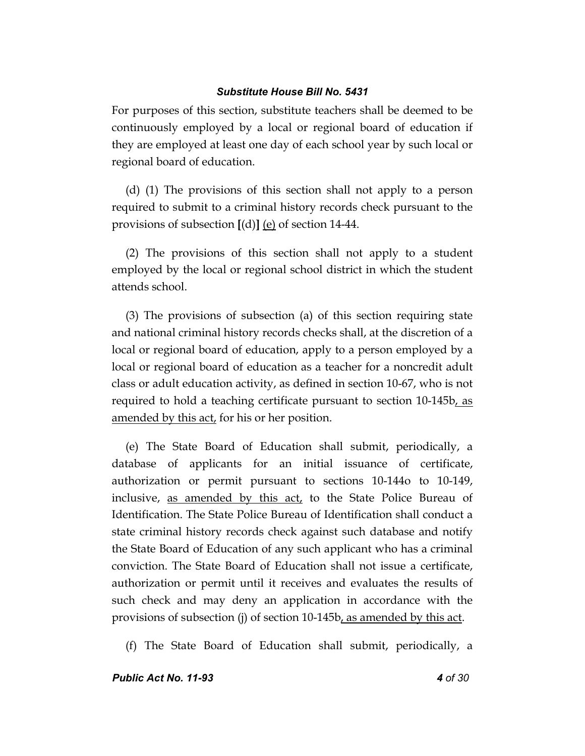For purposes of this section, substitute teachers shall be deemed to be continuously employed by a local or regional board of education if they are employed at least one day of each school year by such local or regional board of education.

(d) (1) The provisions of this section shall not apply to a person required to submit to a criminal history records check pursuant to the provisions of subsection **[**(d)**]** (e) of section 14-44.

(2) The provisions of this section shall not apply to a student employed by the local or regional school district in which the student attends school.

(3) The provisions of subsection (a) of this section requiring state and national criminal history records checks shall, at the discretion of a local or regional board of education, apply to a person employed by a local or regional board of education as a teacher for a noncredit adult class or adult education activity, as defined in section 10-67, who is not required to hold a teaching certificate pursuant to section 10-145b, as amended by this act, for his or her position.

(e) The State Board of Education shall submit, periodically, a database of applicants for an initial issuance of certificate, authorization or permit pursuant to sections 10-144o to 10-149, inclusive, as amended by this act, to the State Police Bureau of Identification. The State Police Bureau of Identification shall conduct a state criminal history records check against such database and notify the State Board of Education of any such applicant who has a criminal conviction. The State Board of Education shall not issue a certificate, authorization or permit until it receives and evaluates the results of such check and may deny an application in accordance with the provisions of subsection (j) of section 10-145b, as amended by this act.

(f) The State Board of Education shall submit, periodically, a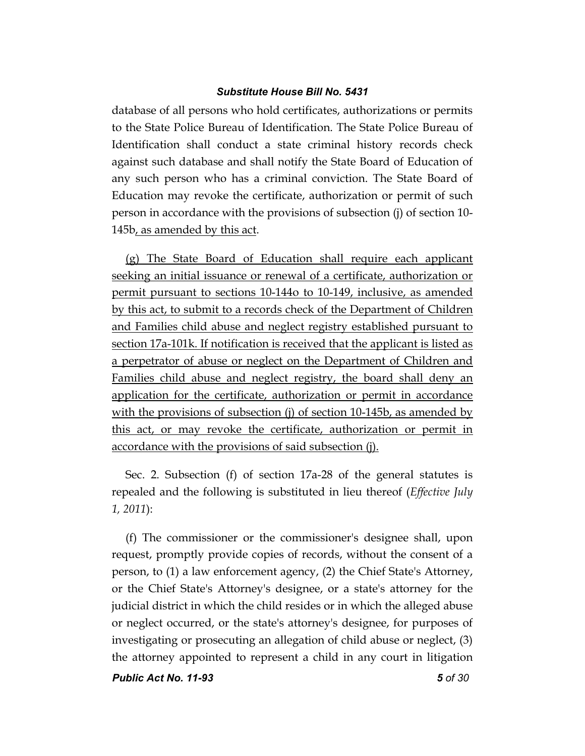database of all persons who hold certificates, authorizations or permits to the State Police Bureau of Identification. The State Police Bureau of Identification shall conduct a state criminal history records check against such database and shall notify the State Board of Education of any such person who has a criminal conviction. The State Board of Education may revoke the certificate, authorization or permit of such person in accordance with the provisions of subsection (j) of section 10- 145b, as amended by this act.

(g) The State Board of Education shall require each applicant seeking an initial issuance or renewal of a certificate, authorization or permit pursuant to sections 10-144o to 10-149, inclusive, as amended by this act, to submit to a records check of the Department of Children and Families child abuse and neglect registry established pursuant to section 17a-101k. If notification is received that the applicant is listed as a perpetrator of abuse or neglect on the Department of Children and Families child abuse and neglect registry, the board shall deny an application for the certificate, authorization or permit in accordance with the provisions of subsection (j) of section 10-145b, as amended by this act, or may revoke the certificate, authorization or permit in accordance with the provisions of said subsection (j).

Sec. 2. Subsection (f) of section 17a-28 of the general statutes is repealed and the following is substituted in lieu thereof (*Effective July 1, 2011*):

(f) The commissioner or the commissioner's designee shall, upon request, promptly provide copies of records, without the consent of a person, to (1) a law enforcement agency, (2) the Chief State's Attorney, or the Chief State's Attorney's designee, or a state's attorney for the judicial district in which the child resides or in which the alleged abuse or neglect occurred, or the state's attorney's designee, for purposes of investigating or prosecuting an allegation of child abuse or neglect, (3) the attorney appointed to represent a child in any court in litigation

*Public Act No. 11-93 5 of 30*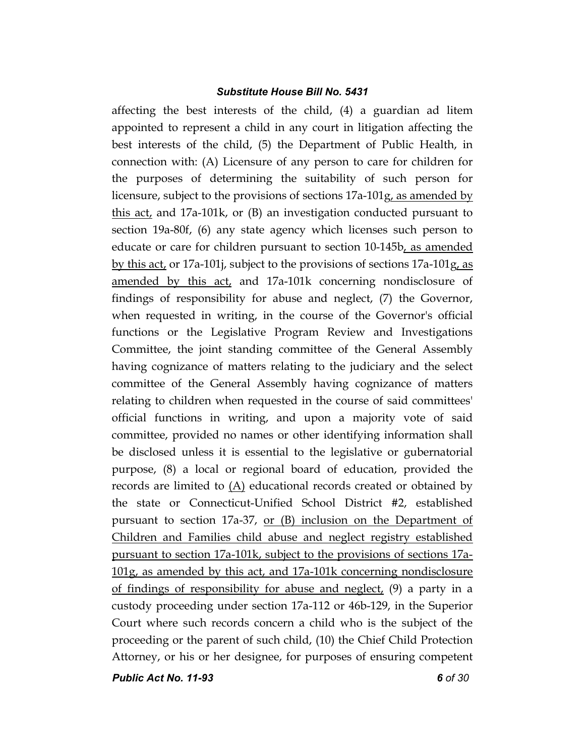affecting the best interests of the child, (4) a guardian ad litem appointed to represent a child in any court in litigation affecting the best interests of the child, (5) the Department of Public Health, in connection with: (A) Licensure of any person to care for children for the purposes of determining the suitability of such person for licensure, subject to the provisions of sections  $17a-101g$ , as amended by this act, and 17a-101k, or (B) an investigation conducted pursuant to section 19a-80f, (6) any state agency which licenses such person to educate or care for children pursuant to section 10-145b, as amended by this act, or 17a-101j, subject to the provisions of sections 17a-101g, as amended by this act, and 17a-101k concerning nondisclosure of findings of responsibility for abuse and neglect, (7) the Governor, when requested in writing, in the course of the Governor's official functions or the Legislative Program Review and Investigations Committee, the joint standing committee of the General Assembly having cognizance of matters relating to the judiciary and the select committee of the General Assembly having cognizance of matters relating to children when requested in the course of said committees' official functions in writing, and upon a majority vote of said committee, provided no names or other identifying information shall be disclosed unless it is essential to the legislative or gubernatorial purpose, (8) a local or regional board of education, provided the records are limited to  $(A)$  educational records created or obtained by the state or Connecticut-Unified School District #2, established pursuant to section 17a-37, or (B) inclusion on the Department of Children and Families child abuse and neglect registry established pursuant to section 17a-101k, subject to the provisions of sections 17a-101g, as amended by this act, and 17a-101k concerning nondisclosure of findings of responsibility for abuse and neglect, (9) a party in a custody proceeding under section 17a-112 or 46b-129, in the Superior Court where such records concern a child who is the subject of the proceeding or the parent of such child, (10) the Chief Child Protection Attorney, or his or her designee, for purposes of ensuring competent

*Public Act No. 11-93 6 of 30*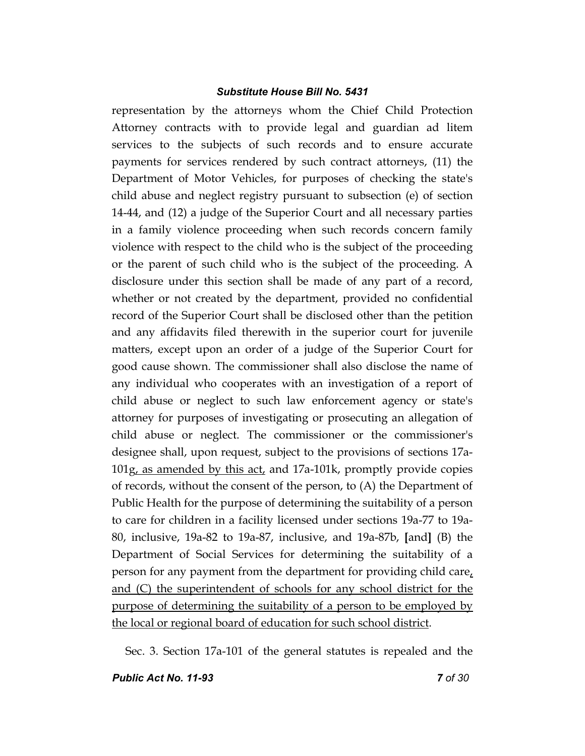representation by the attorneys whom the Chief Child Protection Attorney contracts with to provide legal and guardian ad litem services to the subjects of such records and to ensure accurate payments for services rendered by such contract attorneys, (11) the Department of Motor Vehicles, for purposes of checking the state's child abuse and neglect registry pursuant to subsection (e) of section 14-44, and (12) a judge of the Superior Court and all necessary parties in a family violence proceeding when such records concern family violence with respect to the child who is the subject of the proceeding or the parent of such child who is the subject of the proceeding. A disclosure under this section shall be made of any part of a record, whether or not created by the department, provided no confidential record of the Superior Court shall be disclosed other than the petition and any affidavits filed therewith in the superior court for juvenile matters, except upon an order of a judge of the Superior Court for good cause shown. The commissioner shall also disclose the name of any individual who cooperates with an investigation of a report of child abuse or neglect to such law enforcement agency or state's attorney for purposes of investigating or prosecuting an allegation of child abuse or neglect. The commissioner or the commissioner's designee shall, upon request, subject to the provisions of sections 17a-101g, as amended by this act, and 17a-101k, promptly provide copies of records, without the consent of the person, to (A) the Department of Public Health for the purpose of determining the suitability of a person to care for children in a facility licensed under sections 19a-77 to 19a-80, inclusive, 19a-82 to 19a-87, inclusive, and 19a-87b, **[**and**]** (B) the Department of Social Services for determining the suitability of a person for any payment from the department for providing child care, and (C) the superintendent of schools for any school district for the purpose of determining the suitability of a person to be employed by the local or regional board of education for such school district.

Sec. 3. Section 17a-101 of the general statutes is repealed and the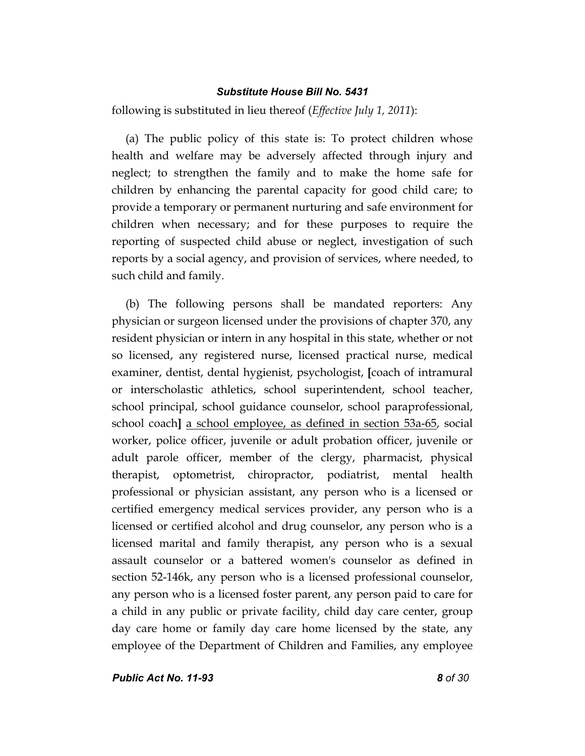following is substituted in lieu thereof (*Effective July 1, 2011*):

(a) The public policy of this state is: To protect children whose health and welfare may be adversely affected through injury and neglect; to strengthen the family and to make the home safe for children by enhancing the parental capacity for good child care; to provide a temporary or permanent nurturing and safe environment for children when necessary; and for these purposes to require the reporting of suspected child abuse or neglect, investigation of such reports by a social agency, and provision of services, where needed, to such child and family.

(b) The following persons shall be mandated reporters: Any physician or surgeon licensed under the provisions of chapter 370, any resident physician or intern in any hospital in this state, whether or not so licensed, any registered nurse, licensed practical nurse, medical examiner, dentist, dental hygienist, psychologist, **[**coach of intramural or interscholastic athletics, school superintendent, school teacher, school principal, school guidance counselor, school paraprofessional, school coach**]** a school employee, as defined in section 53a-65, social worker, police officer, juvenile or adult probation officer, juvenile or adult parole officer, member of the clergy, pharmacist, physical therapist, optometrist, chiropractor, podiatrist, mental health professional or physician assistant, any person who is a licensed or certified emergency medical services provider, any person who is a licensed or certified alcohol and drug counselor, any person who is a licensed marital and family therapist, any person who is a sexual assault counselor or a battered women's counselor as defined in section 52-146k, any person who is a licensed professional counselor, any person who is a licensed foster parent, any person paid to care for a child in any public or private facility, child day care center, group day care home or family day care home licensed by the state, any employee of the Department of Children and Families, any employee

*Public Act No. 11-93 8 of 30*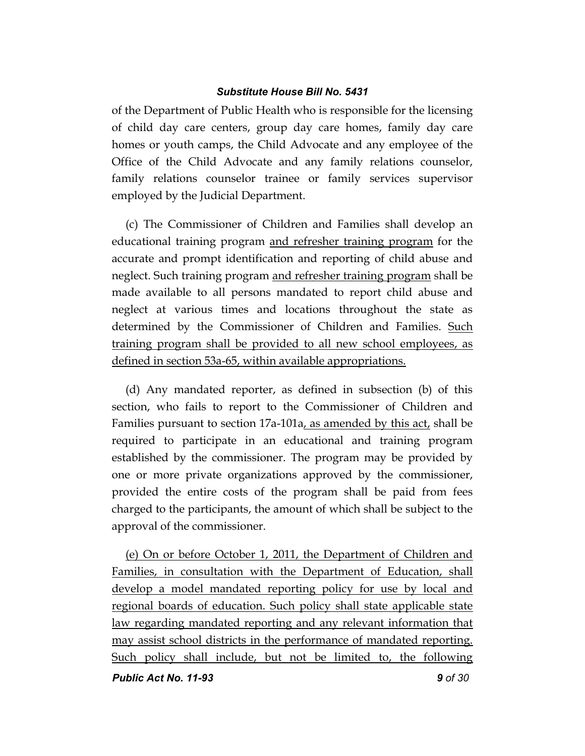of the Department of Public Health who is responsible for the licensing of child day care centers, group day care homes, family day care homes or youth camps, the Child Advocate and any employee of the Office of the Child Advocate and any family relations counselor, family relations counselor trainee or family services supervisor employed by the Judicial Department.

(c) The Commissioner of Children and Families shall develop an educational training program and refresher training program for the accurate and prompt identification and reporting of child abuse and neglect. Such training program and refresher training program shall be made available to all persons mandated to report child abuse and neglect at various times and locations throughout the state as determined by the Commissioner of Children and Families. Such training program shall be provided to all new school employees, as defined in section 53a-65, within available appropriations.

(d) Any mandated reporter, as defined in subsection (b) of this section, who fails to report to the Commissioner of Children and Families pursuant to section  $17a-101a$ , as amended by this act, shall be required to participate in an educational and training program established by the commissioner. The program may be provided by one or more private organizations approved by the commissioner, provided the entire costs of the program shall be paid from fees charged to the participants, the amount of which shall be subject to the approval of the commissioner.

(e) On or before October 1, 2011, the Department of Children and Families, in consultation with the Department of Education, shall develop a model mandated reporting policy for use by local and regional boards of education. Such policy shall state applicable state law regarding mandated reporting and any relevant information that may assist school districts in the performance of mandated reporting. Such policy shall include, but not be limited to, the following

*Public Act No. 11-93 9 of 30*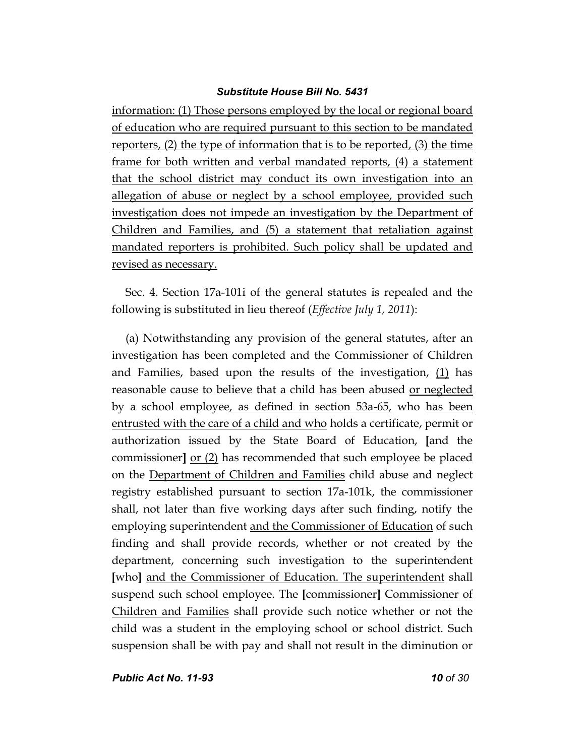information: (1) Those persons employed by the local or regional board of education who are required pursuant to this section to be mandated reporters, (2) the type of information that is to be reported, (3) the time frame for both written and verbal mandated reports, (4) a statement that the school district may conduct its own investigation into an allegation of abuse or neglect by a school employee, provided such investigation does not impede an investigation by the Department of Children and Families, and (5) a statement that retaliation against mandated reporters is prohibited. Such policy shall be updated and revised as necessary.

Sec. 4. Section 17a-101i of the general statutes is repealed and the following is substituted in lieu thereof (*Effective July 1, 2011*):

(a) Notwithstanding any provision of the general statutes, after an investigation has been completed and the Commissioner of Children and Families, based upon the results of the investigation,  $(1)$  has reasonable cause to believe that a child has been abused or neglected by a school employee, as defined in section 53a-65, who has been entrusted with the care of a child and who holds a certificate, permit or authorization issued by the State Board of Education, **[**and the commissioner**]** or (2) has recommended that such employee be placed on the Department of Children and Families child abuse and neglect registry established pursuant to section 17a-101k, the commissioner shall, not later than five working days after such finding, notify the employing superintendent and the Commissioner of Education of such finding and shall provide records, whether or not created by the department, concerning such investigation to the superintendent **[**who**]** and the Commissioner of Education. The superintendent shall suspend such school employee. The **[**commissioner**]** Commissioner of Children and Families shall provide such notice whether or not the child was a student in the employing school or school district. Such suspension shall be with pay and shall not result in the diminution or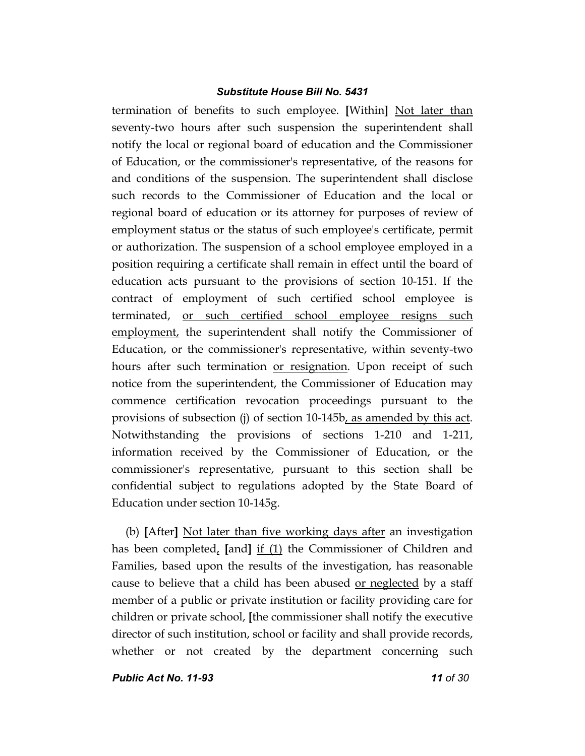termination of benefits to such employee. **[**Within**]** Not later than seventy-two hours after such suspension the superintendent shall notify the local or regional board of education and the Commissioner of Education, or the commissioner's representative, of the reasons for and conditions of the suspension. The superintendent shall disclose such records to the Commissioner of Education and the local or regional board of education or its attorney for purposes of review of employment status or the status of such employee's certificate, permit or authorization. The suspension of a school employee employed in a position requiring a certificate shall remain in effect until the board of education acts pursuant to the provisions of section 10-151. If the contract of employment of such certified school employee is terminated, or such certified school employee resigns such employment, the superintendent shall notify the Commissioner of Education, or the commissioner's representative, within seventy-two hours after such termination or resignation. Upon receipt of such notice from the superintendent, the Commissioner of Education may commence certification revocation proceedings pursuant to the provisions of subsection (j) of section 10-145b, as amended by this act. Notwithstanding the provisions of sections 1-210 and 1-211, information received by the Commissioner of Education, or the commissioner's representative, pursuant to this section shall be confidential subject to regulations adopted by the State Board of Education under section 10-145g.

(b) **[**After**]** Not later than five working days after an investigation has been completed, **[**and**]** if (1) the Commissioner of Children and Families, based upon the results of the investigation, has reasonable cause to believe that a child has been abused <u>or neglected</u> by a staff member of a public or private institution or facility providing care for children or private school, **[**the commissioner shall notify the executive director of such institution, school or facility and shall provide records, whether or not created by the department concerning such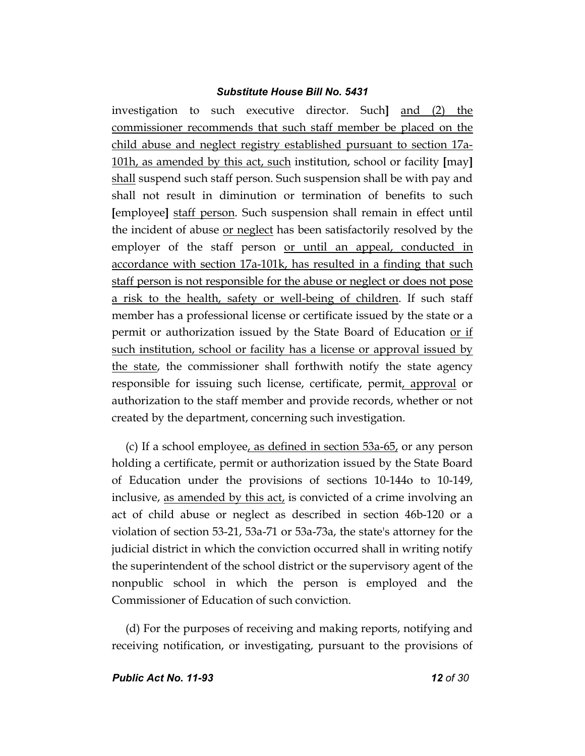investigation to such executive director. Such**]** and (2) the commissioner recommends that such staff member be placed on the child abuse and neglect registry established pursuant to section 17a-101h, as amended by this act, such institution, school or facility **[**may**]** shall suspend such staff person. Such suspension shall be with pay and shall not result in diminution or termination of benefits to such **[**employee**]** staff person. Such suspension shall remain in effect until the incident of abuse or neglect has been satisfactorily resolved by the employer of the staff person or until an appeal, conducted in accordance with section 17a-101k, has resulted in a finding that such staff person is not responsible for the abuse or neglect or does not pose a risk to the health, safety or well-being of children. If such staff member has a professional license or certificate issued by the state or a permit or authorization issued by the State Board of Education or if such institution, school or facility has a license or approval issued by the state, the commissioner shall forthwith notify the state agency responsible for issuing such license, certificate, permit, approval or authorization to the staff member and provide records, whether or not created by the department, concerning such investigation.

(c) If a school employee, as defined in section 53a-65, or any person holding a certificate, permit or authorization issued by the State Board of Education under the provisions of sections 10-144o to 10-149, inclusive, as amended by this act, is convicted of a crime involving an act of child abuse or neglect as described in section 46b-120 or a violation of section 53-21, 53a-71 or 53a-73a, the state's attorney for the judicial district in which the conviction occurred shall in writing notify the superintendent of the school district or the supervisory agent of the nonpublic school in which the person is employed and the Commissioner of Education of such conviction.

(d) For the purposes of receiving and making reports, notifying and receiving notification, or investigating, pursuant to the provisions of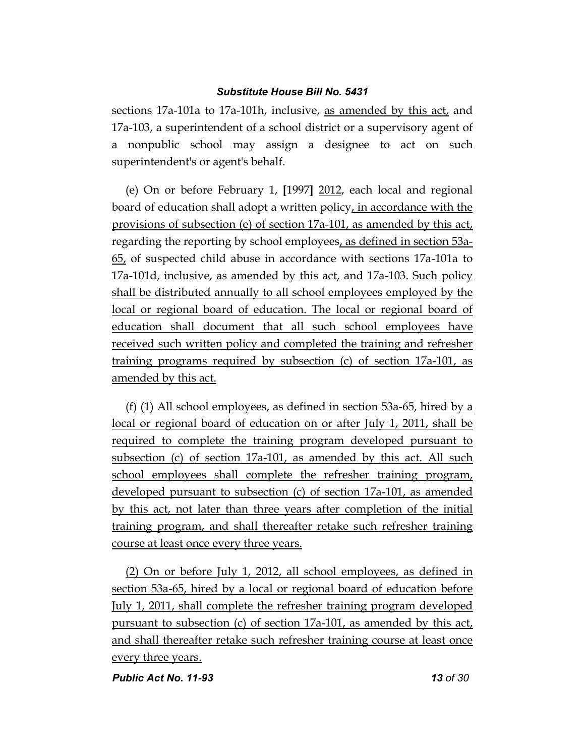sections 17a-101a to 17a-101h, inclusive, as amended by this act, and 17a-103, a superintendent of a school district or a supervisory agent of a nonpublic school may assign a designee to act on such superintendent's or agent's behalf.

(e) On or before February 1, **[**1997**]** 2012, each local and regional board of education shall adopt a written policy, in accordance with the provisions of subsection (e) of section 17a-101, as amended by this act, regarding the reporting by school employees, as defined in section 53a-65, of suspected child abuse in accordance with sections 17a-101a to 17a-101d, inclusive, as amended by this act, and 17a-103. Such policy shall be distributed annually to all school employees employed by the local or regional board of education. The local or regional board of education shall document that all such school employees have received such written policy and completed the training and refresher training programs required by subsection (c) of section 17a-101, as amended by this act.

(f) (1) All school employees, as defined in section 53a-65, hired by a local or regional board of education on or after July 1, 2011, shall be required to complete the training program developed pursuant to subsection (c) of section 17a-101, as amended by this act. All such school employees shall complete the refresher training program, developed pursuant to subsection (c) of section 17a-101, as amended by this act, not later than three years after completion of the initial training program, and shall thereafter retake such refresher training course at least once every three years.

(2) On or before July 1, 2012, all school employees, as defined in section 53a-65, hired by a local or regional board of education before July 1, 2011, shall complete the refresher training program developed pursuant to subsection (c) of section 17a-101, as amended by this act, and shall thereafter retake such refresher training course at least once every three years.

*Public Act No. 11-93* 13 of 30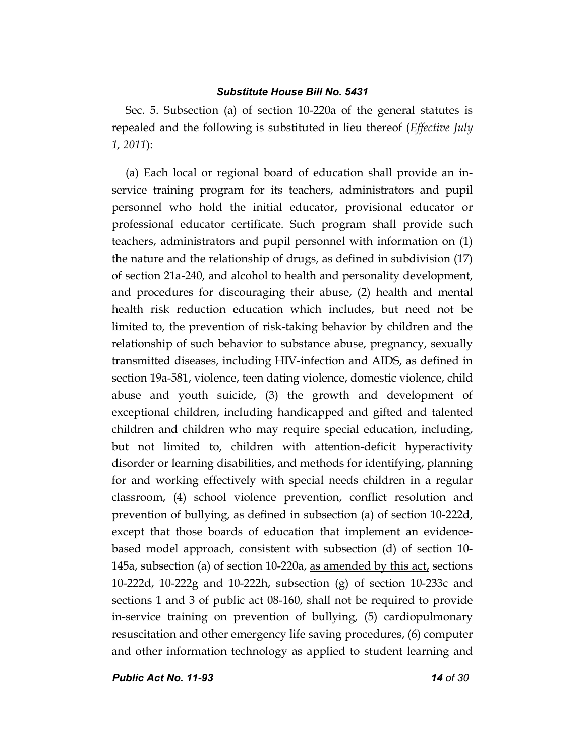Sec. 5. Subsection (a) of section 10-220a of the general statutes is repealed and the following is substituted in lieu thereof (*Effective July 1, 2011*):

(a) Each local or regional board of education shall provide an inservice training program for its teachers, administrators and pupil personnel who hold the initial educator, provisional educator or professional educator certificate. Such program shall provide such teachers, administrators and pupil personnel with information on (1) the nature and the relationship of drugs, as defined in subdivision (17) of section 21a-240, and alcohol to health and personality development, and procedures for discouraging their abuse, (2) health and mental health risk reduction education which includes, but need not be limited to, the prevention of risk-taking behavior by children and the relationship of such behavior to substance abuse, pregnancy, sexually transmitted diseases, including HIV-infection and AIDS, as defined in section 19a-581, violence, teen dating violence, domestic violence, child abuse and youth suicide, (3) the growth and development of exceptional children, including handicapped and gifted and talented children and children who may require special education, including, but not limited to, children with attention-deficit hyperactivity disorder or learning disabilities, and methods for identifying, planning for and working effectively with special needs children in a regular classroom, (4) school violence prevention, conflict resolution and prevention of bullying, as defined in subsection (a) of section 10-222d, except that those boards of education that implement an evidencebased model approach, consistent with subsection (d) of section 10- 145a, subsection (a) of section 10-220a, as amended by this act, sections 10-222d, 10-222g and 10-222h, subsection (g) of section 10-233c and sections 1 and 3 of public act 08-160, shall not be required to provide in-service training on prevention of bullying, (5) cardiopulmonary resuscitation and other emergency life saving procedures, (6) computer and other information technology as applied to student learning and

*Public Act No. 11-93 14 of 30*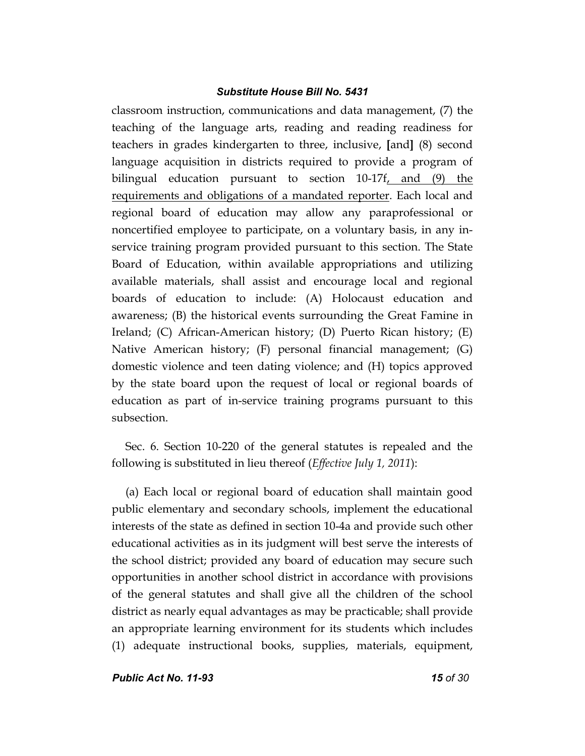classroom instruction, communications and data management, (7) the teaching of the language arts, reading and reading readiness for teachers in grades kindergarten to three, inclusive, **[**and**]** (8) second language acquisition in districts required to provide a program of bilingual education pursuant to section 10-17f, and (9) the requirements and obligations of a mandated reporter. Each local and regional board of education may allow any paraprofessional or noncertified employee to participate, on a voluntary basis, in any inservice training program provided pursuant to this section. The State Board of Education, within available appropriations and utilizing available materials, shall assist and encourage local and regional boards of education to include: (A) Holocaust education and awareness; (B) the historical events surrounding the Great Famine in Ireland; (C) African-American history; (D) Puerto Rican history; (E) Native American history; (F) personal financial management; (G) domestic violence and teen dating violence; and (H) topics approved by the state board upon the request of local or regional boards of education as part of in-service training programs pursuant to this subsection.

Sec. 6. Section 10-220 of the general statutes is repealed and the following is substituted in lieu thereof (*Effective July 1, 2011*):

(a) Each local or regional board of education shall maintain good public elementary and secondary schools, implement the educational interests of the state as defined in section 10-4a and provide such other educational activities as in its judgment will best serve the interests of the school district; provided any board of education may secure such opportunities in another school district in accordance with provisions of the general statutes and shall give all the children of the school district as nearly equal advantages as may be practicable; shall provide an appropriate learning environment for its students which includes (1) adequate instructional books, supplies, materials, equipment,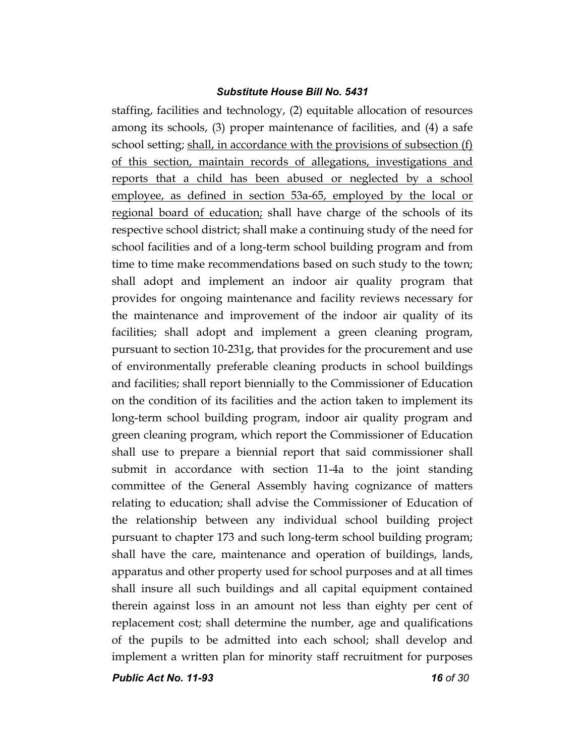staffing, facilities and technology, (2) equitable allocation of resources among its schools, (3) proper maintenance of facilities, and (4) a safe school setting; shall, in accordance with the provisions of subsection (f) of this section, maintain records of allegations, investigations and reports that a child has been abused or neglected by a school employee, as defined in section 53a-65, employed by the local or regional board of education; shall have charge of the schools of its respective school district; shall make a continuing study of the need for school facilities and of a long-term school building program and from time to time make recommendations based on such study to the town; shall adopt and implement an indoor air quality program that provides for ongoing maintenance and facility reviews necessary for the maintenance and improvement of the indoor air quality of its facilities; shall adopt and implement a green cleaning program, pursuant to section 10-231g, that provides for the procurement and use of environmentally preferable cleaning products in school buildings and facilities; shall report biennially to the Commissioner of Education on the condition of its facilities and the action taken to implement its long-term school building program, indoor air quality program and green cleaning program, which report the Commissioner of Education shall use to prepare a biennial report that said commissioner shall submit in accordance with section 11-4a to the joint standing committee of the General Assembly having cognizance of matters relating to education; shall advise the Commissioner of Education of the relationship between any individual school building project pursuant to chapter 173 and such long-term school building program; shall have the care, maintenance and operation of buildings, lands, apparatus and other property used for school purposes and at all times shall insure all such buildings and all capital equipment contained therein against loss in an amount not less than eighty per cent of replacement cost; shall determine the number, age and qualifications of the pupils to be admitted into each school; shall develop and implement a written plan for minority staff recruitment for purposes

*Public Act No. 11-93 16 of 30*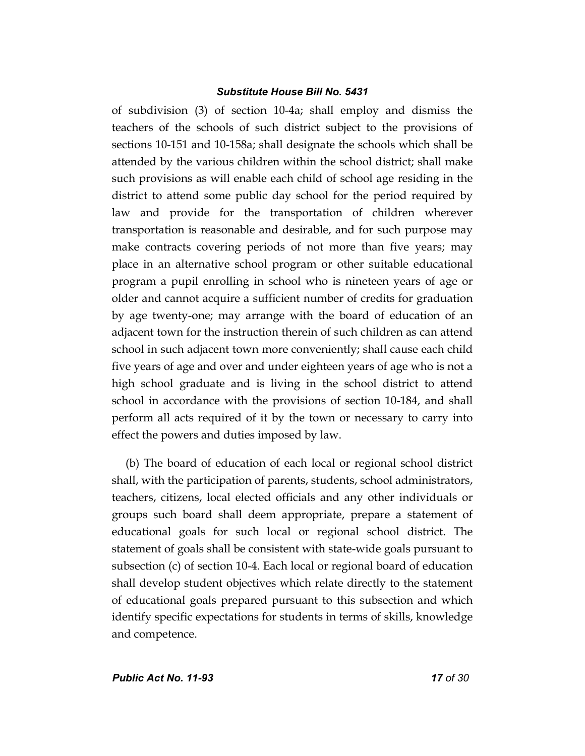of subdivision (3) of section 10-4a; shall employ and dismiss the teachers of the schools of such district subject to the provisions of sections 10-151 and 10-158a; shall designate the schools which shall be attended by the various children within the school district; shall make such provisions as will enable each child of school age residing in the district to attend some public day school for the period required by law and provide for the transportation of children wherever transportation is reasonable and desirable, and for such purpose may make contracts covering periods of not more than five years; may place in an alternative school program or other suitable educational program a pupil enrolling in school who is nineteen years of age or older and cannot acquire a sufficient number of credits for graduation by age twenty-one; may arrange with the board of education of an adjacent town for the instruction therein of such children as can attend school in such adjacent town more conveniently; shall cause each child five years of age and over and under eighteen years of age who is not a high school graduate and is living in the school district to attend school in accordance with the provisions of section 10-184, and shall perform all acts required of it by the town or necessary to carry into effect the powers and duties imposed by law.

(b) The board of education of each local or regional school district shall, with the participation of parents, students, school administrators, teachers, citizens, local elected officials and any other individuals or groups such board shall deem appropriate, prepare a statement of educational goals for such local or regional school district. The statement of goals shall be consistent with state-wide goals pursuant to subsection (c) of section 10-4. Each local or regional board of education shall develop student objectives which relate directly to the statement of educational goals prepared pursuant to this subsection and which identify specific expectations for students in terms of skills, knowledge and competence.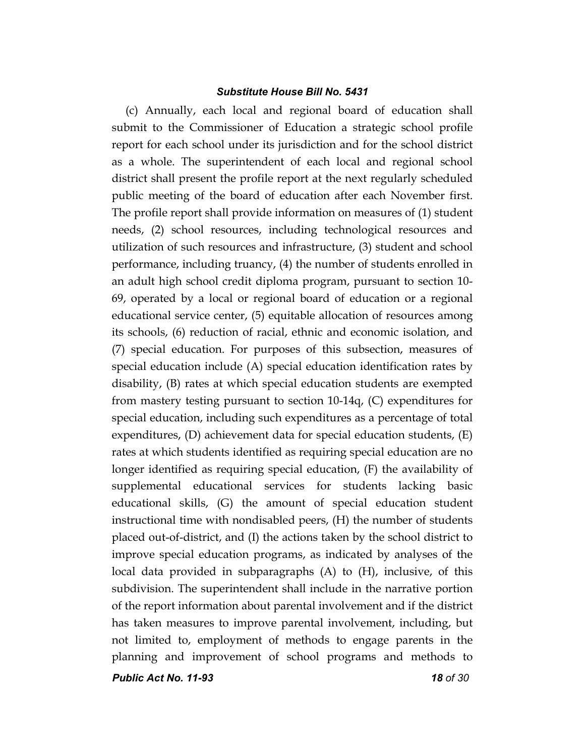(c) Annually, each local and regional board of education shall submit to the Commissioner of Education a strategic school profile report for each school under its jurisdiction and for the school district as a whole. The superintendent of each local and regional school district shall present the profile report at the next regularly scheduled public meeting of the board of education after each November first. The profile report shall provide information on measures of (1) student needs, (2) school resources, including technological resources and utilization of such resources and infrastructure, (3) student and school performance, including truancy, (4) the number of students enrolled in an adult high school credit diploma program, pursuant to section 10- 69, operated by a local or regional board of education or a regional educational service center, (5) equitable allocation of resources among its schools, (6) reduction of racial, ethnic and economic isolation, and (7) special education. For purposes of this subsection, measures of special education include (A) special education identification rates by disability, (B) rates at which special education students are exempted from mastery testing pursuant to section 10-14q, (C) expenditures for special education, including such expenditures as a percentage of total expenditures, (D) achievement data for special education students, (E) rates at which students identified as requiring special education are no longer identified as requiring special education, (F) the availability of supplemental educational services for students lacking basic educational skills, (G) the amount of special education student instructional time with nondisabled peers, (H) the number of students placed out-of-district, and (I) the actions taken by the school district to improve special education programs, as indicated by analyses of the local data provided in subparagraphs (A) to (H), inclusive, of this subdivision. The superintendent shall include in the narrative portion of the report information about parental involvement and if the district has taken measures to improve parental involvement, including, but not limited to, employment of methods to engage parents in the planning and improvement of school programs and methods to

*Public Act No. 11-93 18 of 30*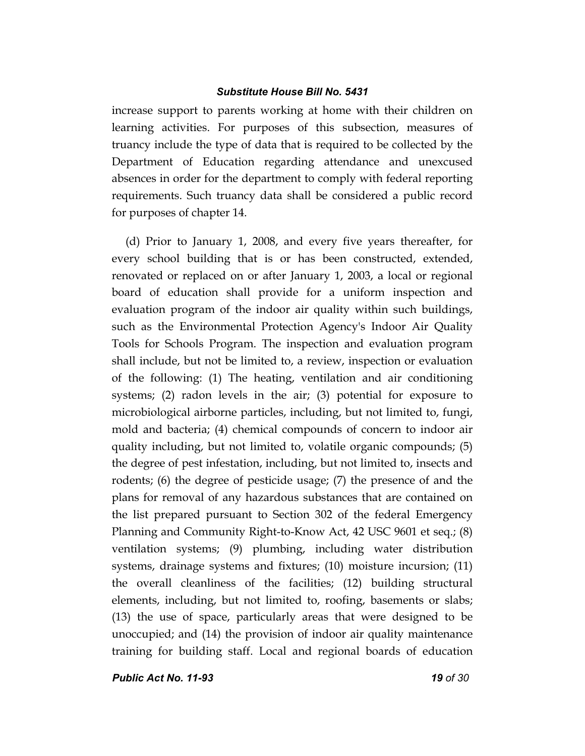increase support to parents working at home with their children on learning activities. For purposes of this subsection, measures of truancy include the type of data that is required to be collected by the Department of Education regarding attendance and unexcused absences in order for the department to comply with federal reporting requirements. Such truancy data shall be considered a public record for purposes of chapter 14.

(d) Prior to January 1, 2008, and every five years thereafter, for every school building that is or has been constructed, extended, renovated or replaced on or after January 1, 2003, a local or regional board of education shall provide for a uniform inspection and evaluation program of the indoor air quality within such buildings, such as the Environmental Protection Agency's Indoor Air Quality Tools for Schools Program. The inspection and evaluation program shall include, but not be limited to, a review, inspection or evaluation of the following: (1) The heating, ventilation and air conditioning systems; (2) radon levels in the air; (3) potential for exposure to microbiological airborne particles, including, but not limited to, fungi, mold and bacteria; (4) chemical compounds of concern to indoor air quality including, but not limited to, volatile organic compounds; (5) the degree of pest infestation, including, but not limited to, insects and rodents; (6) the degree of pesticide usage; (7) the presence of and the plans for removal of any hazardous substances that are contained on the list prepared pursuant to Section 302 of the federal Emergency Planning and Community Right-to-Know Act, 42 USC 9601 et seq.; (8) ventilation systems; (9) plumbing, including water distribution systems, drainage systems and fixtures; (10) moisture incursion; (11) the overall cleanliness of the facilities; (12) building structural elements, including, but not limited to, roofing, basements or slabs; (13) the use of space, particularly areas that were designed to be unoccupied; and (14) the provision of indoor air quality maintenance training for building staff. Local and regional boards of education

*Public Act No. 11-93 19 of 30*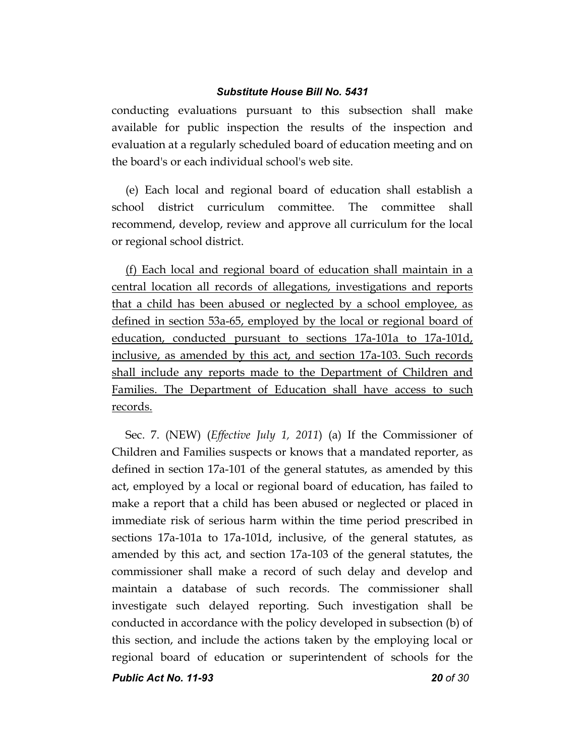conducting evaluations pursuant to this subsection shall make available for public inspection the results of the inspection and evaluation at a regularly scheduled board of education meeting and on the board's or each individual school's web site.

(e) Each local and regional board of education shall establish a school district curriculum committee. The committee shall recommend, develop, review and approve all curriculum for the local or regional school district.

(f) Each local and regional board of education shall maintain in a central location all records of allegations, investigations and reports that a child has been abused or neglected by a school employee, as defined in section 53a-65, employed by the local or regional board of education, conducted pursuant to sections 17a-101a to 17a-101d, inclusive, as amended by this act, and section 17a-103. Such records shall include any reports made to the Department of Children and Families. The Department of Education shall have access to such records.

Sec. 7. (NEW) (*Effective July 1, 2011*) (a) If the Commissioner of Children and Families suspects or knows that a mandated reporter, as defined in section 17a-101 of the general statutes, as amended by this act, employed by a local or regional board of education, has failed to make a report that a child has been abused or neglected or placed in immediate risk of serious harm within the time period prescribed in sections 17a-101a to 17a-101d, inclusive, of the general statutes, as amended by this act, and section 17a-103 of the general statutes, the commissioner shall make a record of such delay and develop and maintain a database of such records. The commissioner shall investigate such delayed reporting. Such investigation shall be conducted in accordance with the policy developed in subsection (b) of this section, and include the actions taken by the employing local or regional board of education or superintendent of schools for the

*Public Act No. 11-93 20 of 30*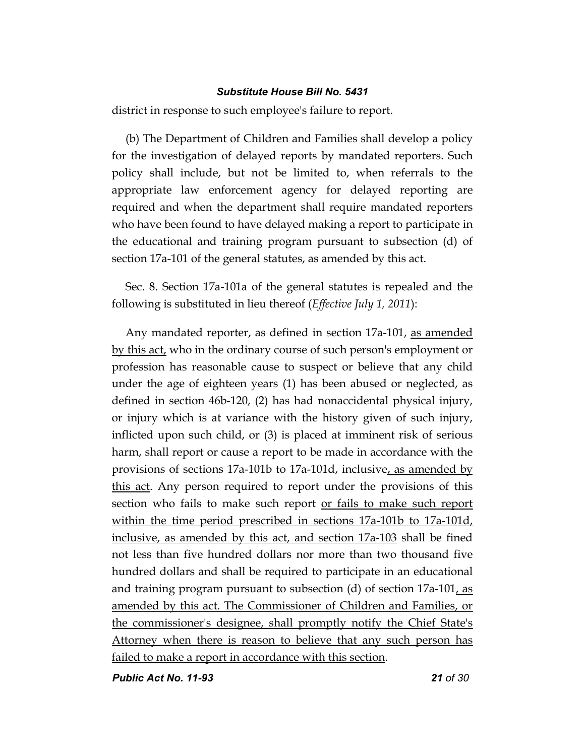district in response to such employee's failure to report.

(b) The Department of Children and Families shall develop a policy for the investigation of delayed reports by mandated reporters. Such policy shall include, but not be limited to, when referrals to the appropriate law enforcement agency for delayed reporting are required and when the department shall require mandated reporters who have been found to have delayed making a report to participate in the educational and training program pursuant to subsection (d) of section 17a-101 of the general statutes, as amended by this act.

Sec. 8. Section 17a-101a of the general statutes is repealed and the following is substituted in lieu thereof (*Effective July 1, 2011*):

Any mandated reporter, as defined in section 17a-101, as amended by this act, who in the ordinary course of such person's employment or profession has reasonable cause to suspect or believe that any child under the age of eighteen years (1) has been abused or neglected, as defined in section 46b-120, (2) has had nonaccidental physical injury, or injury which is at variance with the history given of such injury, inflicted upon such child, or (3) is placed at imminent risk of serious harm, shall report or cause a report to be made in accordance with the provisions of sections 17a-101b to 17a-101d, inclusive, as amended by this act. Any person required to report under the provisions of this section who fails to make such report or fails to make such report within the time period prescribed in sections 17a-101b to 17a-101d, inclusive, as amended by this act, and section 17a-103 shall be fined not less than five hundred dollars nor more than two thousand five hundred dollars and shall be required to participate in an educational and training program pursuant to subsection (d) of section  $17a-101$ , as amended by this act. The Commissioner of Children and Families, or the commissioner's designee, shall promptly notify the Chief State's Attorney when there is reason to believe that any such person has failed to make a report in accordance with this section.

*Public Act No. 11-93 21 of 30*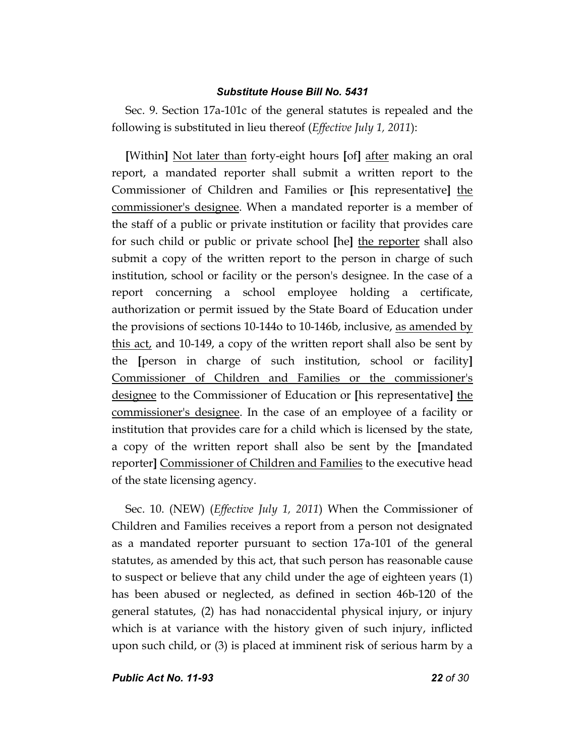Sec. 9. Section 17a-101c of the general statutes is repealed and the following is substituted in lieu thereof (*Effective July 1, 2011*):

**[**Within**]** Not later than forty-eight hours **[**of**]** after making an oral report, a mandated reporter shall submit a written report to the Commissioner of Children and Families or **[**his representative**]** the commissioner's designee. When a mandated reporter is a member of the staff of a public or private institution or facility that provides care for such child or public or private school **[**he**]** the reporter shall also submit a copy of the written report to the person in charge of such institution, school or facility or the person's designee. In the case of a report concerning a school employee holding a certificate, authorization or permit issued by the State Board of Education under the provisions of sections 10-144o to 10-146b, inclusive, as amended by this act, and 10-149, a copy of the written report shall also be sent by the **[**person in charge of such institution, school or facility**]** Commissioner of Children and Families or the commissioner's designee to the Commissioner of Education or **[**his representative**]** the commissioner's designee. In the case of an employee of a facility or institution that provides care for a child which is licensed by the state, a copy of the written report shall also be sent by the **[**mandated reporter**]** Commissioner of Children and Families to the executive head of the state licensing agency.

Sec. 10. (NEW) (*Effective July 1, 2011*) When the Commissioner of Children and Families receives a report from a person not designated as a mandated reporter pursuant to section 17a-101 of the general statutes, as amended by this act, that such person has reasonable cause to suspect or believe that any child under the age of eighteen years (1) has been abused or neglected, as defined in section 46b-120 of the general statutes, (2) has had nonaccidental physical injury, or injury which is at variance with the history given of such injury, inflicted upon such child, or (3) is placed at imminent risk of serious harm by a

*Public Act No. 11-93 22 of 30*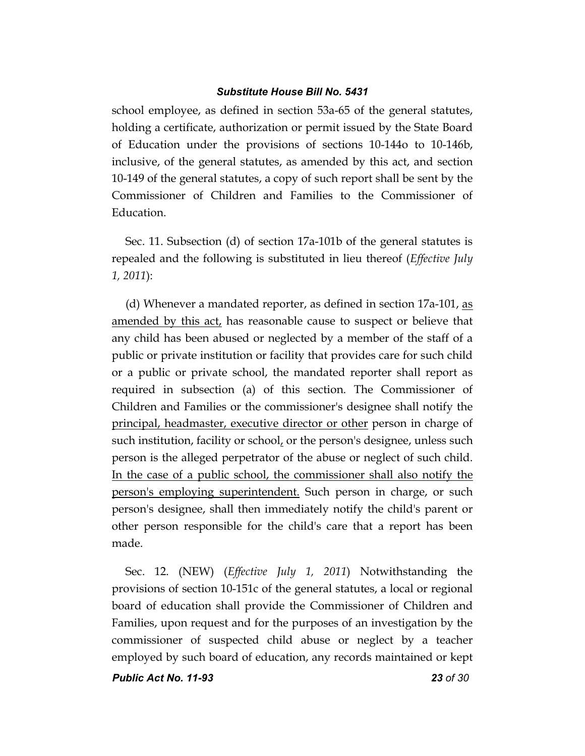school employee, as defined in section 53a-65 of the general statutes, holding a certificate, authorization or permit issued by the State Board of Education under the provisions of sections 10-144o to 10-146b, inclusive, of the general statutes, as amended by this act, and section 10-149 of the general statutes, a copy of such report shall be sent by the Commissioner of Children and Families to the Commissioner of Education.

Sec. 11. Subsection (d) of section 17a-101b of the general statutes is repealed and the following is substituted in lieu thereof (*Effective July 1, 2011*):

(d) Whenever a mandated reporter, as defined in section 17a-101, as amended by this act, has reasonable cause to suspect or believe that any child has been abused or neglected by a member of the staff of a public or private institution or facility that provides care for such child or a public or private school, the mandated reporter shall report as required in subsection (a) of this section. The Commissioner of Children and Families or the commissioner's designee shall notify the principal, headmaster, executive director or other person in charge of such institution, facility or school, or the person's designee, unless such person is the alleged perpetrator of the abuse or neglect of such child. In the case of a public school, the commissioner shall also notify the person's employing superintendent. Such person in charge, or such person's designee, shall then immediately notify the child's parent or other person responsible for the child's care that a report has been made.

Sec. 12. (NEW) (*Effective July 1, 2011*) Notwithstanding the provisions of section 10-151c of the general statutes, a local or regional board of education shall provide the Commissioner of Children and Families, upon request and for the purposes of an investigation by the commissioner of suspected child abuse or neglect by a teacher employed by such board of education, any records maintained or kept

*Public Act No. 11-93 23 of 30*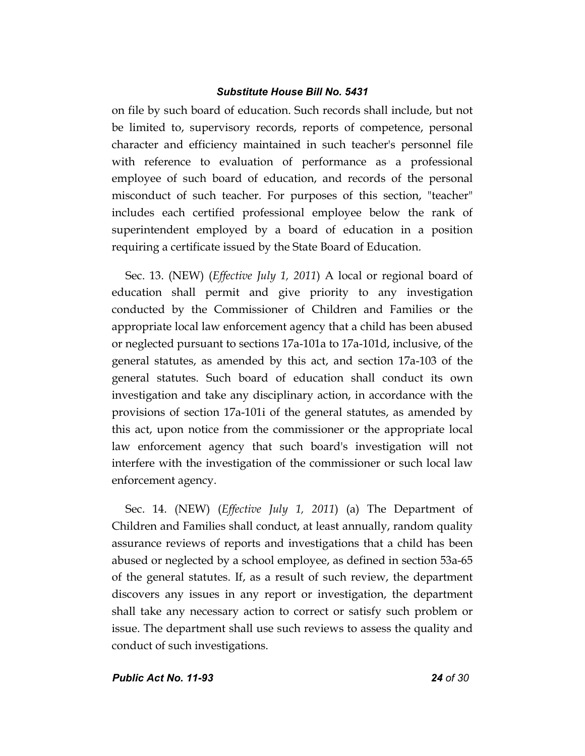on file by such board of education. Such records shall include, but not be limited to, supervisory records, reports of competence, personal character and efficiency maintained in such teacher's personnel file with reference to evaluation of performance as a professional employee of such board of education, and records of the personal misconduct of such teacher. For purposes of this section, "teacher" includes each certified professional employee below the rank of superintendent employed by a board of education in a position requiring a certificate issued by the State Board of Education.

Sec. 13. (NEW) (*Effective July 1, 2011*) A local or regional board of education shall permit and give priority to any investigation conducted by the Commissioner of Children and Families or the appropriate local law enforcement agency that a child has been abused or neglected pursuant to sections 17a-101a to 17a-101d, inclusive, of the general statutes, as amended by this act, and section 17a-103 of the general statutes. Such board of education shall conduct its own investigation and take any disciplinary action, in accordance with the provisions of section 17a-101i of the general statutes, as amended by this act, upon notice from the commissioner or the appropriate local law enforcement agency that such board's investigation will not interfere with the investigation of the commissioner or such local law enforcement agency.

Sec. 14. (NEW) (*Effective July 1, 2011*) (a) The Department of Children and Families shall conduct, at least annually, random quality assurance reviews of reports and investigations that a child has been abused or neglected by a school employee, as defined in section 53a-65 of the general statutes. If, as a result of such review, the department discovers any issues in any report or investigation, the department shall take any necessary action to correct or satisfy such problem or issue. The department shall use such reviews to assess the quality and conduct of such investigations.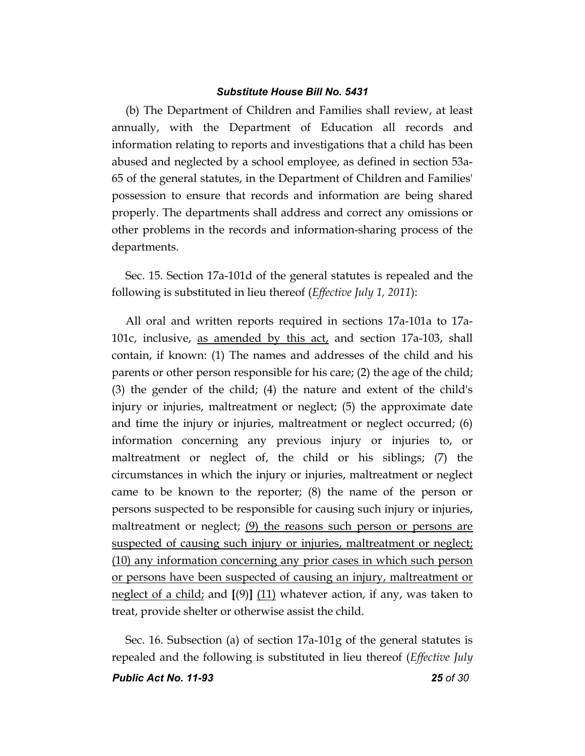(b) The Department of Children and Families shall review, at least annually, with the Department of Education all records and information relating to reports and investigations that a child has been abused and neglected by a school employee, as defined in section 53a-65 of the general statutes, in the Department of Children and Families' possession to ensure that records and information are being shared properly. The departments shall address and correct any omissions or other problems in the records and information-sharing process of the departments.

Sec. 15. Section 17a-101d of the general statutes is repealed and the following is substituted in lieu thereof (*Effective July 1, 2011*):

All oral and written reports required in sections 17a-101a to 17a-101c, inclusive, as amended by this act, and section 17a-103, shall contain, if known: (1) The names and addresses of the child and his parents or other person responsible for his care; (2) the age of the child; (3) the gender of the child; (4) the nature and extent of the child's injury or injuries, maltreatment or neglect; (5) the approximate date and time the injury or injuries, maltreatment or neglect occurred; (6) information concerning any previous injury or injuries to, or maltreatment or neglect of, the child or his siblings; (7) the circumstances in which the injury or injuries, maltreatment or neglect came to be known to the reporter; (8) the name of the person or persons suspected to be responsible for causing such injury or injuries, maltreatment or neglect; (9) the reasons such person or persons are suspected of causing such injury or injuries, maltreatment or neglect; (10) any information concerning any prior cases in which such person or persons have been suspected of causing an injury, maltreatment or neglect of a child; and **[**(9)**]** (11) whatever action, if any, was taken to treat, provide shelter or otherwise assist the child.

Sec. 16. Subsection (a) of section 17a-101g of the general statutes is repealed and the following is substituted in lieu thereof (*Effective July*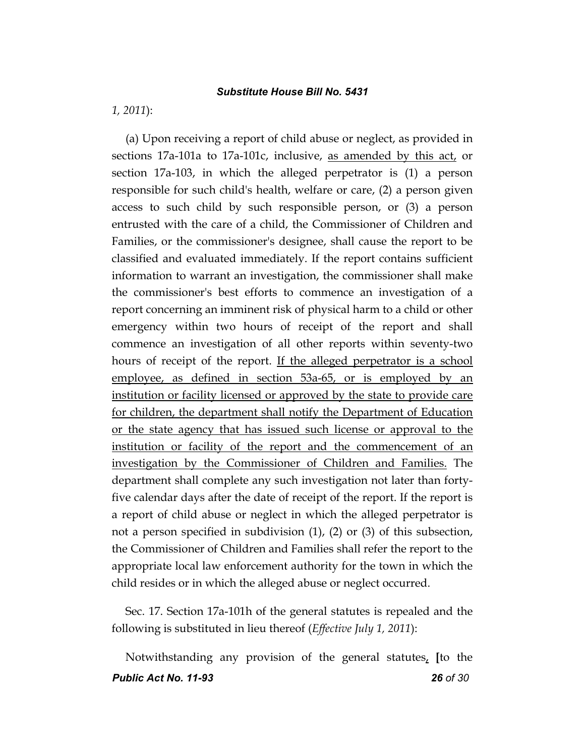*1, 2011*):

(a) Upon receiving a report of child abuse or neglect, as provided in sections 17a-101a to 17a-101c, inclusive, as amended by this act, or section 17a-103, in which the alleged perpetrator is (1) a person responsible for such child's health, welfare or care, (2) a person given access to such child by such responsible person, or (3) a person entrusted with the care of a child, the Commissioner of Children and Families, or the commissioner's designee, shall cause the report to be classified and evaluated immediately. If the report contains sufficient information to warrant an investigation, the commissioner shall make the commissioner's best efforts to commence an investigation of a report concerning an imminent risk of physical harm to a child or other emergency within two hours of receipt of the report and shall commence an investigation of all other reports within seventy-two hours of receipt of the report. If the alleged perpetrator is a school employee, as defined in section 53a-65, or is employed by an institution or facility licensed or approved by the state to provide care for children, the department shall notify the Department of Education or the state agency that has issued such license or approval to the institution or facility of the report and the commencement of an investigation by the Commissioner of Children and Families. The department shall complete any such investigation not later than fortyfive calendar days after the date of receipt of the report. If the report is a report of child abuse or neglect in which the alleged perpetrator is not a person specified in subdivision (1), (2) or (3) of this subsection, the Commissioner of Children and Families shall refer the report to the appropriate local law enforcement authority for the town in which the child resides or in which the alleged abuse or neglect occurred.

Sec. 17. Section 17a-101h of the general statutes is repealed and the following is substituted in lieu thereof (*Effective July 1, 2011*):

*Public Act No. 11-93 26 of 30* Notwithstanding any provision of the general statutes, **[**to the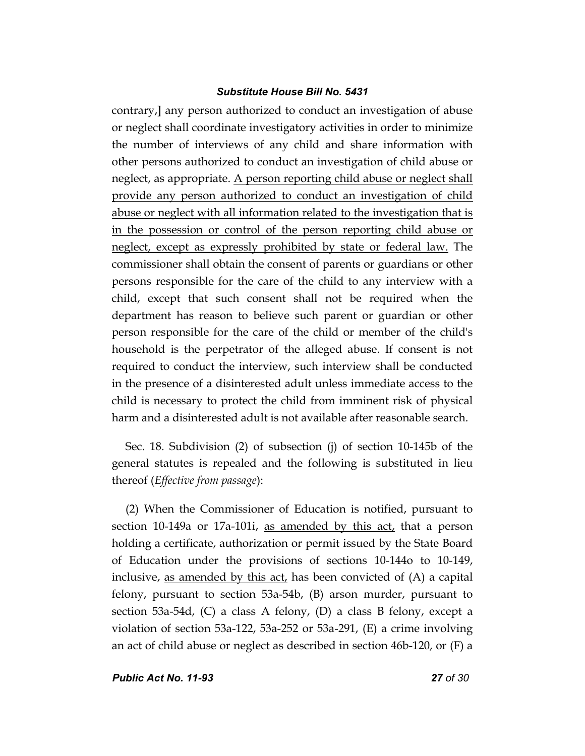contrary,**]** any person authorized to conduct an investigation of abuse or neglect shall coordinate investigatory activities in order to minimize the number of interviews of any child and share information with other persons authorized to conduct an investigation of child abuse or neglect, as appropriate. A person reporting child abuse or neglect shall provide any person authorized to conduct an investigation of child abuse or neglect with all information related to the investigation that is in the possession or control of the person reporting child abuse or neglect, except as expressly prohibited by state or federal law. The commissioner shall obtain the consent of parents or guardians or other persons responsible for the care of the child to any interview with a child, except that such consent shall not be required when the department has reason to believe such parent or guardian or other person responsible for the care of the child or member of the child's household is the perpetrator of the alleged abuse. If consent is not required to conduct the interview, such interview shall be conducted in the presence of a disinterested adult unless immediate access to the child is necessary to protect the child from imminent risk of physical harm and a disinterested adult is not available after reasonable search.

Sec. 18. Subdivision (2) of subsection (j) of section 10-145b of the general statutes is repealed and the following is substituted in lieu thereof (*Effective from passage*):

(2) When the Commissioner of Education is notified, pursuant to section 10-149a or 17a-101i, as amended by this act, that a person holding a certificate, authorization or permit issued by the State Board of Education under the provisions of sections 10-144o to 10-149, inclusive, as amended by this act, has been convicted of  $(A)$  a capital felony, pursuant to section 53a-54b, (B) arson murder, pursuant to section 53a-54d, (C) a class A felony, (D) a class B felony, except a violation of section 53a-122, 53a-252 or 53a-291, (E) a crime involving an act of child abuse or neglect as described in section 46b-120, or (F) a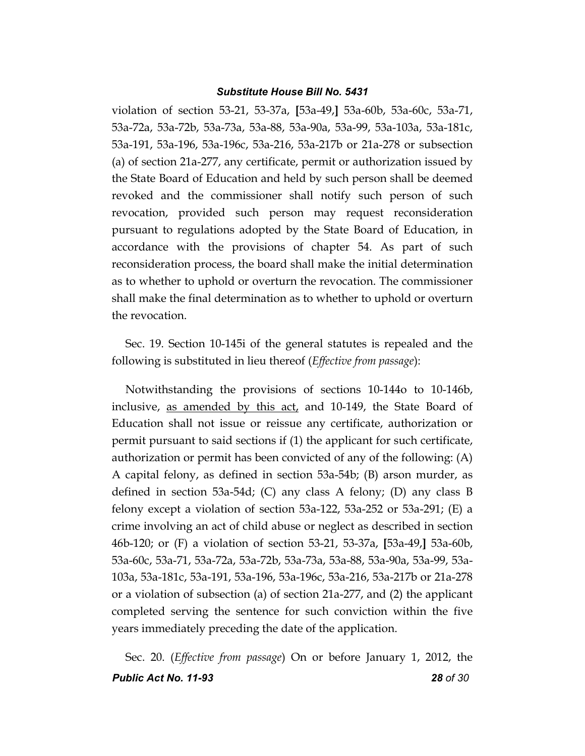violation of section 53-21, 53-37a, **[**53a-49,**]** 53a-60b, 53a-60c, 53a-71, 53a-72a, 53a-72b, 53a-73a, 53a-88, 53a-90a, 53a-99, 53a-103a, 53a-181c, 53a-191, 53a-196, 53a-196c, 53a-216, 53a-217b or 21a-278 or subsection (a) of section 21a-277, any certificate, permit or authorization issued by the State Board of Education and held by such person shall be deemed revoked and the commissioner shall notify such person of such revocation, provided such person may request reconsideration pursuant to regulations adopted by the State Board of Education, in accordance with the provisions of chapter 54. As part of such reconsideration process, the board shall make the initial determination as to whether to uphold or overturn the revocation. The commissioner shall make the final determination as to whether to uphold or overturn the revocation.

Sec. 19. Section 10-145i of the general statutes is repealed and the following is substituted in lieu thereof (*Effective from passage*):

Notwithstanding the provisions of sections 10-144o to 10-146b, inclusive, as amended by this act, and 10-149, the State Board of Education shall not issue or reissue any certificate, authorization or permit pursuant to said sections if (1) the applicant for such certificate, authorization or permit has been convicted of any of the following: (A) A capital felony, as defined in section 53a-54b; (B) arson murder, as defined in section 53a-54d; (C) any class A felony; (D) any class B felony except a violation of section 53a-122, 53a-252 or 53a-291; (E) a crime involving an act of child abuse or neglect as described in section 46b-120; or (F) a violation of section 53-21, 53-37a, **[**53a-49,**]** 53a-60b, 53a-60c, 53a-71, 53a-72a, 53a-72b, 53a-73a, 53a-88, 53a-90a, 53a-99, 53a-103a, 53a-181c, 53a-191, 53a-196, 53a-196c, 53a-216, 53a-217b or 21a-278 or a violation of subsection (a) of section 21a-277, and (2) the applicant completed serving the sentence for such conviction within the five years immediately preceding the date of the application.

*Public Act No. 11-93 28 of 30* Sec. 20. (*Effective from passage*) On or before January 1, 2012, the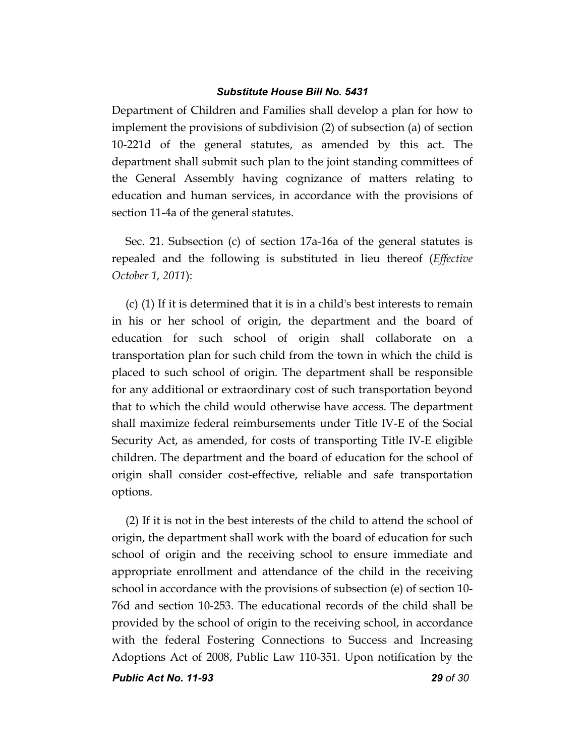Department of Children and Families shall develop a plan for how to implement the provisions of subdivision (2) of subsection (a) of section 10-221d of the general statutes, as amended by this act. The department shall submit such plan to the joint standing committees of the General Assembly having cognizance of matters relating to education and human services, in accordance with the provisions of section 11-4a of the general statutes.

Sec. 21. Subsection (c) of section 17a-16a of the general statutes is repealed and the following is substituted in lieu thereof (*Effective October 1, 2011*):

(c) (1) If it is determined that it is in a child's best interests to remain in his or her school of origin, the department and the board of education for such school of origin shall collaborate on a transportation plan for such child from the town in which the child is placed to such school of origin. The department shall be responsible for any additional or extraordinary cost of such transportation beyond that to which the child would otherwise have access. The department shall maximize federal reimbursements under Title IV-E of the Social Security Act, as amended, for costs of transporting Title IV-E eligible children. The department and the board of education for the school of origin shall consider cost-effective, reliable and safe transportation options.

(2) If it is not in the best interests of the child to attend the school of origin, the department shall work with the board of education for such school of origin and the receiving school to ensure immediate and appropriate enrollment and attendance of the child in the receiving school in accordance with the provisions of subsection (e) of section 10- 76d and section 10-253. The educational records of the child shall be provided by the school of origin to the receiving school, in accordance with the federal Fostering Connections to Success and Increasing Adoptions Act of 2008, Public Law 110-351. Upon notification by the

*Public Act No. 11-93 29 of 30*